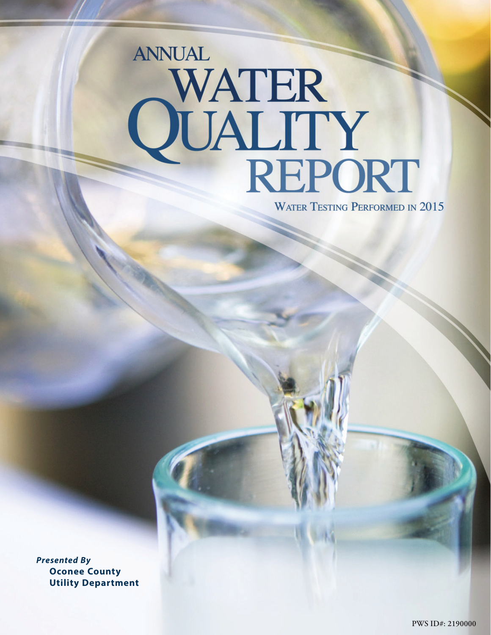# **ANNUAL** WATER<br>QUALITY<br>REPORT

**WATER TESTING PERFORMED IN 2015** 

*Presented By*  **Oconee County Utility Department**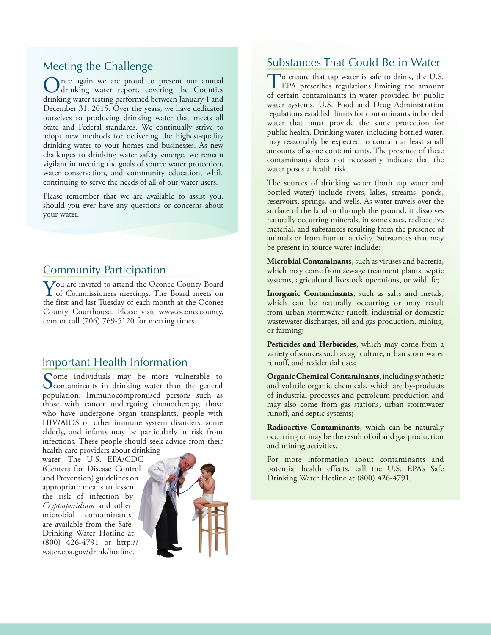# Meeting the Challenge

nce again we are proud to present our annual drinking water report, covering the Counties drinking water testing performed between January 1 and December 31, 2015. Over the years, we have dedicated ourselves to producing drinking water that meets all State and Federal standards. We continually strive to adopt new methods for delivering the highest-quality drinking water to your homes and businesses. As new challenges to drinking water safety emerge, we remain vigilant in meeting the goals of source water protection, water conservation, and community education, while continuing to serve the needs of all of our water users.

Please remember that we are available to assist you, should you ever have any questions or concerns about your water.

# Community Participation

**Y**ou are invited to attend the Oconee County Board<br>of Commissioners meetings. The Board meets on<br>the first and last Tranday of sask manth at the Ocenes the first and last Tuesday of each month at the Oconee County Courthouse. Please visit www.oconeecounty. com or call (706) 769-5120 for meeting times.

# Important Health Information

Some individuals may be more vulnerable to<br>
contaminants in drinking water than the general<br>
negotiation January<br>
contamination of the general contains the set population. Immunocompromised persons such as those with cancer undergoing chemotherapy, those who have undergone organ transplants, people with HIV/AIDS or other immune system disorders, some elderly, and infants may be particularly at risk from infections. These people should seek advice from their health care providers about drinking

water. The U.S. EPA/CDC (Centers for Disease Control and Prevention) guidelines on appropriate means to lessen the risk of infection by *Cryptosporidium* and other microbial contaminants are available from the Safe Drinking Water Hotline at (800) 426-4791 or http:// water.epa.gov/drink/hotline.



# Substances That Could Be in Water

To ensure that tap water is safe to drink, the U.S.<br>EPA prescribes regulations limiting the amount of certain contaminants in water provided by public water systems. U.S. Food and Drug Administration regulations establish limits for contaminants in bottled water that must provide the same protection for public health. Drinking water, including bottled water, may reasonably be expected to contain at least small amounts of some contaminants. The presence of these contaminants does not necessarily indicate that the water poses a health risk.

The sources of drinking water (both tap water and bottled water) include rivers, lakes, streams, ponds, reservoirs, springs, and wells. As water travels over the surface of the land or through the ground, it dissolves naturally occurring minerals, in some cases, radioactive material, and substances resulting from the presence of animals or from human activity. Substances that may be present in source water include:

**Microbial Contaminants**, such as viruses and bacteria, which may come from sewage treatment plants, septic systems, agricultural livestock operations, or wildlife;

**Inorganic Contaminants**, such as salts and metals, which can be naturally occurring or may result from urban stormwater runoff, industrial or domestic wastewater discharges, oil and gas production, mining, or farming;

**Pesticides and Herbicides**, which may come from a variety of sources such as agriculture, urban stormwater runoff, and residential uses;

**Organic Chemical Contaminants**, including synthetic and volatile organic chemicals, which are by-products of industrial processes and petroleum production and may also come from gas stations, urban stormwater runoff, and septic systems;

**Radioactive Contaminants**, which can be naturally occurring or may be the result of oil and gas production and mining activities.

For more information about contaminants and potential health effects, call the U.S. EPA's Safe Drinking Water Hotline at (800) 426-4791.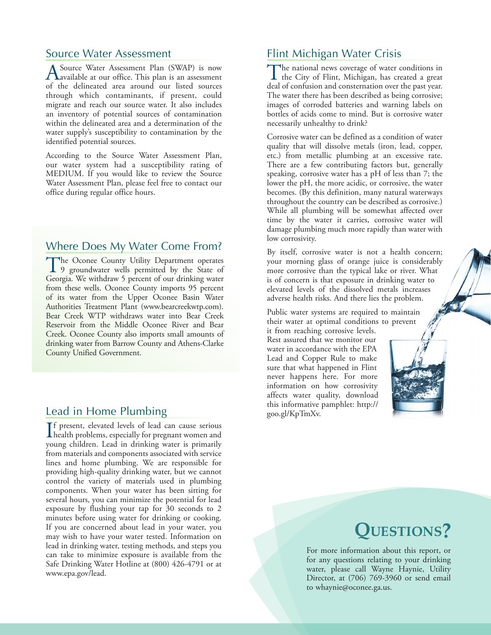# Source Water Assessment

A Source Water Assessment Plan (SWAP) is now available at our office. This plan is an assessment of the delineated area around our listed sources through which contaminants, if present, could migrate and reach our source water. It also includes an inventory of potential sources of contamination within the delineated area and a determination of the water supply's susceptibility to contamination by the identified potential sources.

According to the Source Water Assessment Plan, our water system had a susceptibility rating of MEDIUM. If you would like to review the Source Water Assessment Plan, please feel free to contact our office during regular office hours.

# Where Does My Water Come From?

The Oconee County Utility Department operates<br>9 groundwater wells permitted by the State of Georgia. We withdraw 5 percent of our drinking water from these wells. Oconee County imports 95 percent of its water from the Upper Oconee Basin Water Authorities Treatment Plant (www.bearcreekwtp.com). Bear Creek WTP withdraws water into Bear Creek Reservoir from the Middle Oconee River and Bear Creek. Oconee County also imports small amounts of drinking water from Barrow County and Athens-Clarke County Unified Government.

If present, elevated levels of lead can cause serious<br>health problems, especially for pregnant women and<br>www.printers. Lead in driving wave is primarily **T**f present, elevated levels of lead can cause serious young children. Lead in drinking water is primarily from materials and components associated with service lines and home plumbing. We are responsible for providing high-quality drinking water, but we cannot control the variety of materials used in plumbing components. When your water has been sitting for several hours, you can minimize the potential for lead exposure by flushing your tap for 30 seconds to 2 minutes before using water for drinking or cooking. If you are concerned about lead in your water, you may wish to have your water tested. Information on lead in drinking water, testing methods, and steps you can take to minimize exposure is available from the Safe Drinking Water Hotline at (800) 426-4791 or at www.epa.gov/lead.

# Flint Michigan Water Crisis

The national news coverage of water conditions in the City of Flint, Michigan, has created a great deal of confusion and consternation over the past year. The water there has been described as being corrosive; images of corroded batteries and warning labels on bottles of acids come to mind. But is corrosive water necessarily unhealthy to drink?

Corrosive water can be defined as a condition of water quality that will dissolve metals (iron, lead, copper, etc.) from metallic plumbing at an excessive rate. There are a few contributing factors but, generally speaking, corrosive water has a pH of less than 7; the lower the pH, the more acidic, or corrosive, the water becomes. (By this definition, many natural waterways throughout the country can be described as corrosive.) While all plumbing will be somewhat affected over time by the water it carries, corrosive water will damage plumbing much more rapidly than water with low corrosivity.

By itself, corrosive water is not a health concern; your morning glass of orange juice is considerably more corrosive than the typical lake or river. What is of concern is that exposure in drinking water to elevated levels of the dissolved metals increases adverse health risks. And there lies the problem.

Public water systems are required to maintain their water at optimal conditions to prevent

it from reaching corrosive levels. Rest assured that we monitor our water in accordance with the EPA Lead and Copper Rule to make sure that what happened in Flint never happens here. For more information on how corrosivity affects water quality, download this informative pamphlet: http://<br>
Lead in Home Plumbing examples the goo.gl/KpTmXv.



# **Questions?**

For more information about this report, or for any questions relating to your drinking water, please call Wayne Haynie, Utility Director, at (706) 769-3960 or send email to whaynie@oconee.ga.us.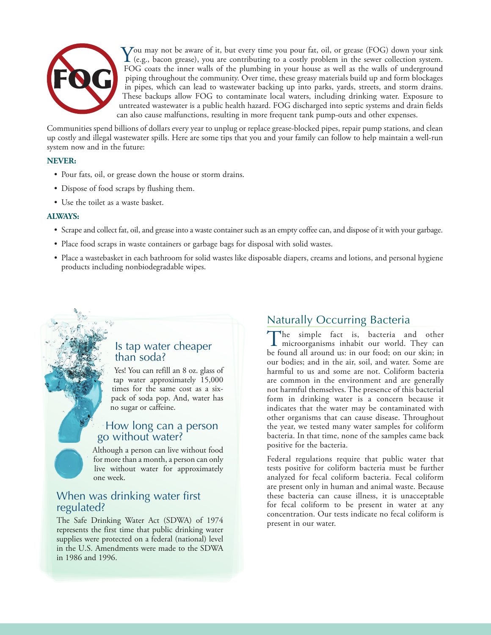

 $\bf{Y}$ ou may not be aware of it, but every time you pour fat, oil, or grease (FOG) down your sink (e.g., bacon grease), you are contributing to a costly problem in the sewer collection system. FOG coats the inner walls of the plumbing in your house as well as the walls of underground piping throughout the community. Over time, these greasy materials build up and form blockages in pipes, which can lead to wastewater backing up into parks, yards, streets, and storm drains. These backups allow FOG to contaminate local waters, including drinking water. Exposure to untreated wastewater is a public health hazard. FOG discharged into septic systems and drain fields can also cause malfunctions, resulting in more frequent tank pump-outs and other expenses.

Communities spend billions of dollars every year to unplug or replace grease-blocked pipes, repair pump stations, and clean up costly and illegal wastewater spills. Here are some tips that you and your family can follow to help maintain a well-run system now and in the future:

# **NEVER:**

- Pour fats, oil, or grease down the house or storm drains.
- Dispose of food scraps by flushing them.
- Use the toilet as a waste basket.

# **ALWAYS:**

- Scrape and collect fat, oil, and grease into a waste container such as an empty coffee can, and dispose of it with your garbage.
- Place food scraps in waste containers or garbage bags for disposal with solid wastes.
- Place a wastebasket in each bathroom for solid wastes like disposable diapers, creams and lotions, and personal hygiene products including nonbiodegradable wipes.

# Is tap water cheaper than soda?

Yes! You can refill an 8 oz. glass of tap water approximately 15,000 times for the same cost as a sixpack of soda pop. And, water has no sugar or caffeine.

# How long can a person go without water?

Although a person can live without food for more than a month, a person can only live without water for approximately one week.

# When was drinking water first regulated?

The Safe Drinking Water Act (SDWA) of 1974 represents the first time that public drinking water supplies were protected on a federal (national) level in the U.S. Amendments were made to the SDWA in 1986 and 1996.

# Naturally Occurring Bacteria

The simple fact is, bacteria and other microorganisms inhabit our world. They can be found all around us: in our food; on our skin; in our bodies; and in the air, soil, and water. Some are harmful to us and some are not. Coliform bacteria are common in the environment and are generally not harmful themselves. The presence of this bacterial form in drinking water is a concern because it indicates that the water may be contaminated with other organisms that can cause disease. Throughout the year, we tested many water samples for coliform bacteria. In that time, none of the samples came back positive for the bacteria.

Federal regulations require that public water that tests positive for coliform bacteria must be further analyzed for fecal coliform bacteria. Fecal coliform are present only in human and animal waste. Because these bacteria can cause illness, it is unacceptable for fecal coliform to be present in water at any concentration. Our tests indicate no fecal coliform is present in our water.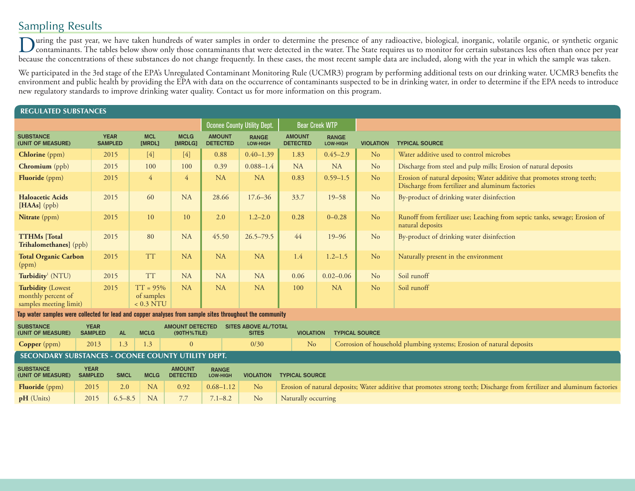# Sampling Results

During the past year, we have taken hundreds of water samples in order to determine the presence of any radioactive, biological, inorganic, volatile organic, or synthetic organic organic organic organic organic organic org because the concentrations of these substances do not change frequently. In these cases, the most recent sample data are included, along with the year in which the sample was taken.

We participated in the 3rd stage of the EPA's Unregulated Contaminant Monitoring Rule (UCMR3) program by performing additional tests on our drinking water. UCMR3 benefits the environment and public health by providing the EPA with data on the occurrence of contaminants suspected to be in drinking water, in order to determine if the EPA needs to introduce new regulatory standards to improve drinking water quality. Contact us for more information on this program.

| <b>REGULATED SUBSTANCES</b>                                                                              |                               |                               |                                                      |                                    |                                             |                          |                                                                                                                          |                          |                       |                                                                                                                             |  |
|----------------------------------------------------------------------------------------------------------|-------------------------------|-------------------------------|------------------------------------------------------|------------------------------------|---------------------------------------------|--------------------------|--------------------------------------------------------------------------------------------------------------------------|--------------------------|-----------------------|-----------------------------------------------------------------------------------------------------------------------------|--|
|                                                                                                          |                               |                               |                                                      | <b>Oconee County Utility Dept.</b> |                                             | <b>Bear Creek WTP</b>    |                                                                                                                          |                          |                       |                                                                                                                             |  |
| <b>SUBSTANCE</b><br>(UNIT OF MEASURE)                                                                    |                               | <b>YEAR</b><br><b>SAMPLED</b> | <b>MCL</b><br>[MRDL]                                 | <b>MCLG</b><br>[MRDLG]             | <b>AMOUNT</b><br><b>DETECTED</b>            | <b>RANGE</b><br>LOW-HIGH | <b>AMOUNT</b><br><b>DETECTED</b>                                                                                         | <b>RANGE</b><br>LOW-HIGH | <b>VIOLATION</b>      | <b>TYPICAL SOURCE</b>                                                                                                       |  |
| <b>Chlorine</b> (ppm)                                                                                    |                               | 2015                          | $[4]$                                                | $[4]$                              | 0.88                                        | $0.40 - 1.39$            | 1.83                                                                                                                     | $0.45 - 2.9$             | N <sub>o</sub>        | Water additive used to control microbes                                                                                     |  |
| Chromium (ppb)                                                                                           |                               | 2015                          | 100                                                  | 100                                | 0.39                                        | $0.088 - 1.4$            | <b>NA</b>                                                                                                                | <b>NA</b>                | N <sub>o</sub>        | Discharge from steel and pulp mills; Erosion of natural deposits                                                            |  |
| Fluoride (ppm)                                                                                           |                               | 2015                          | $\overline{4}$                                       | $\overline{4}$                     | <b>NA</b>                                   | <b>NA</b>                | 0.83                                                                                                                     | $0.59 - 1.5$             | N <sub>o</sub>        | Erosion of natural deposits; Water additive that promotes strong teeth;<br>Discharge from fertilizer and aluminum factories |  |
| <b>Haloacetic Acids</b><br>[HAAs] (ppb)                                                                  |                               | 2015                          | 60                                                   | <b>NA</b>                          | 28.66                                       | $17.6 - 36$              | 33.7                                                                                                                     | $19 - 58$                | No                    | By-product of drinking water disinfection                                                                                   |  |
| Nitrate (ppm)                                                                                            |                               | 2015                          | 10                                                   | 10                                 | 2.0                                         | $1.2 - 2.0$              | 0.28                                                                                                                     | $0 - 0.28$               | N <sub>o</sub>        | Runoff from fertilizer use; Leaching from septic tanks, sewage; Erosion of<br>natural deposits                              |  |
| <b>TTHMs</b> [Total<br>Trihalomethanes] (ppb)                                                            |                               | 2015                          | 80                                                   | <b>NA</b>                          | 45.50                                       | $26.5 - 79.5$            | 44                                                                                                                       | $19 - 96$                | N <sub>o</sub>        | By-product of drinking water disinfection                                                                                   |  |
| <b>Total Organic Carbon</b><br>(ppm)                                                                     |                               | 2015                          | <b>TT</b>                                            | <b>NA</b>                          | <b>NA</b>                                   | <b>NA</b>                | 1.4                                                                                                                      | $1.2 - 1.5$              | N <sub>o</sub>        | Naturally present in the environment                                                                                        |  |
| Turbidity <sup>1</sup> (NTU)                                                                             |                               | 2015                          | <b>TT</b>                                            | <b>NA</b>                          | <b>NA</b>                                   | <b>NA</b>                | 0.06                                                                                                                     | $0.02 - 0.06$            | No                    | Soil runoff                                                                                                                 |  |
| <b>Turbidity (Lowest</b><br>monthly percent of<br>samples meeting limit)                                 |                               | 2015                          | $TT = 95%$<br>of samples<br>$< 0.3$ NTU              | <b>NA</b>                          | <b>NA</b>                                   | <b>NA</b>                | 100                                                                                                                      | <b>NA</b>                | N <sub>o</sub>        | Soil runoff                                                                                                                 |  |
| Tap water samples were collected for lead and copper analyses from sample sites throughout the community |                               |                               |                                                      |                                    |                                             |                          |                                                                                                                          |                          |                       |                                                                                                                             |  |
| <b>SUBSTANCE</b><br>(UNIT OF MEASURE)                                                                    | <b>YEAR</b><br><b>SAMPLED</b> | <b>AL</b>                     | <b>AMOUNT DETECTED</b><br><b>MCLG</b><br>(90TH%TILE) |                                    | <b>SITES ABOVE AL/TOTAL</b><br><b>SITES</b> |                          | <b>VIOLATION</b>                                                                                                         |                          | <b>TYPICAL SOURCE</b> |                                                                                                                             |  |
| <b>Copper</b> (ppm)                                                                                      | 2013                          | 1.3                           | 1.3                                                  | $\mathbf{0}$                       |                                             | 0/30                     | Corrosion of household plumbing systems; Erosion of natural deposits<br>N <sub>o</sub>                                   |                          |                       |                                                                                                                             |  |
| SECONDARY SUBSTANCES - OCONEE COUNTY UTILITY DEPT.                                                       |                               |                               |                                                      |                                    |                                             |                          |                                                                                                                          |                          |                       |                                                                                                                             |  |
| <b>SUBSTANCE</b><br>(UNIT OF MEASURE)                                                                    | <b>YEAR</b><br><b>SAMPLED</b> | <b>SMCL</b>                   | <b>MCLG</b>                                          | <b>AMOUNT</b><br><b>DETECTED</b>   | <b>RANGE</b><br>LOW-HIGH                    | <b>VIOLATION</b>         | <b>TYPICAL SOURCE</b>                                                                                                    |                          |                       |                                                                                                                             |  |
| <b>Fluoride</b> ( $ppm$ )                                                                                | 2015                          | 2.0                           | <b>NA</b>                                            | 0.92                               | $0.68 - 1.12$                               | N <sub>o</sub>           | Erosion of natural deposits; Water additive that promotes strong teeth; Discharge from fertilizer and aluminum factories |                          |                       |                                                                                                                             |  |
| pH (Units)                                                                                               | 2015                          | $6.5 - 8.5$                   | <b>NA</b>                                            | 7.7                                | $7.1 - 8.2$                                 | N <sub>o</sub>           | Naturally occurring                                                                                                      |                          |                       |                                                                                                                             |  |